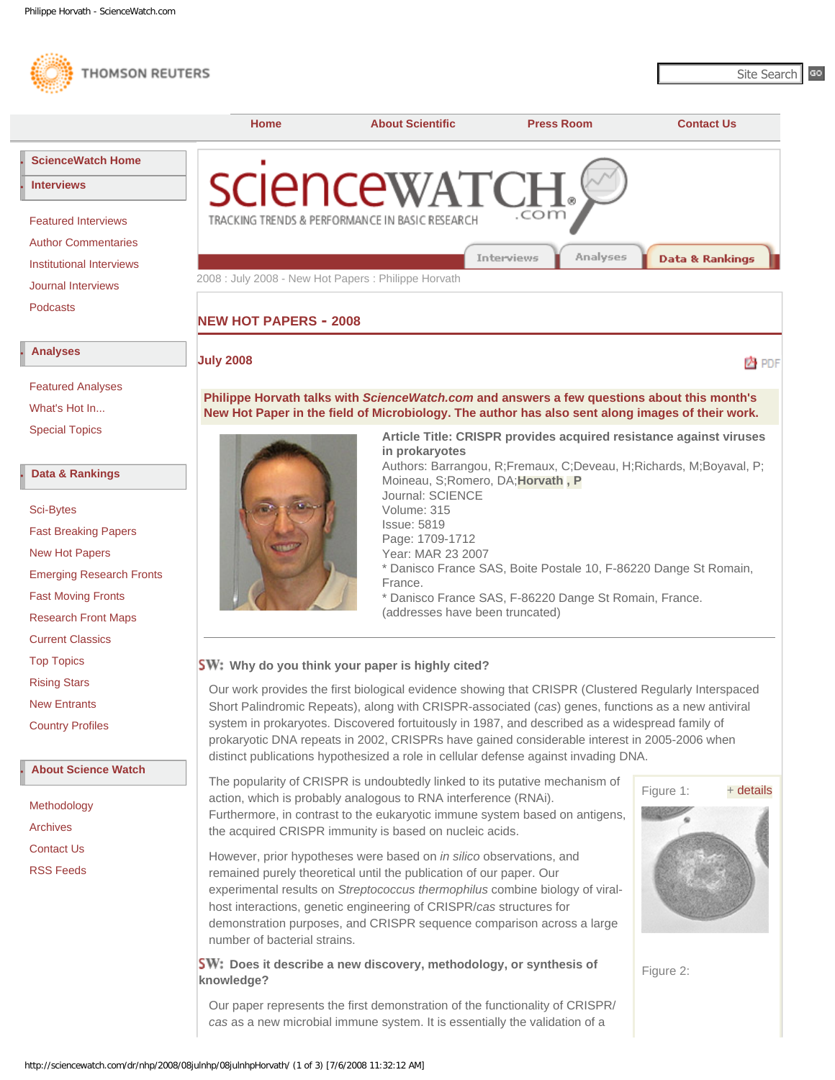<span id="page-0-0"></span>



**● [About Science Watch](http://sciencewatch.com/sciencewatch/about/)**

[Methodology](http://sciencewatch.com/sciencewatch/about/met/) [Archives](http://sciencewatch.com/sciencewatch/about/arc/) [Contact Us](http://sciencewatch.com/sciencewatch/about/contact/) [RSS Feeds](http://sciencewatch.com/sciencewatch/rss/)

The popularity of CRISPR is undoubtedly linked to its putative mechanism of action, which is probably analogous to RNA interference (RNAi). Furthermore, in contrast to the eukaryotic immune system based on antigens, the acquired CRISPR immunity is based on nucleic acids.

However, prior hypotheses were based on *in silico* observations, and remained purely theoretical until the publication of our paper. Our experimental results on *Streptococcus thermophilus* combine biology of viralhost interactions, genetic engineering of CRISPR/*cas* structures for demonstration purposes, and CRISPR sequence comparison across a large number of bacterial strains.

**SW:** Does it describe a new discovery, methodology, or synthesis of **knowledge?**

Figure 1: + [details](http://sciencewatch.com/sciencewatch/dr/nhp/2008/08julnhp/08julnhpHorvath1/)

Figure 2:

Our paper represents the first demonstration of the functionality of CRISPR/ *cas* as a new microbial immune system. It is essentially the validation of a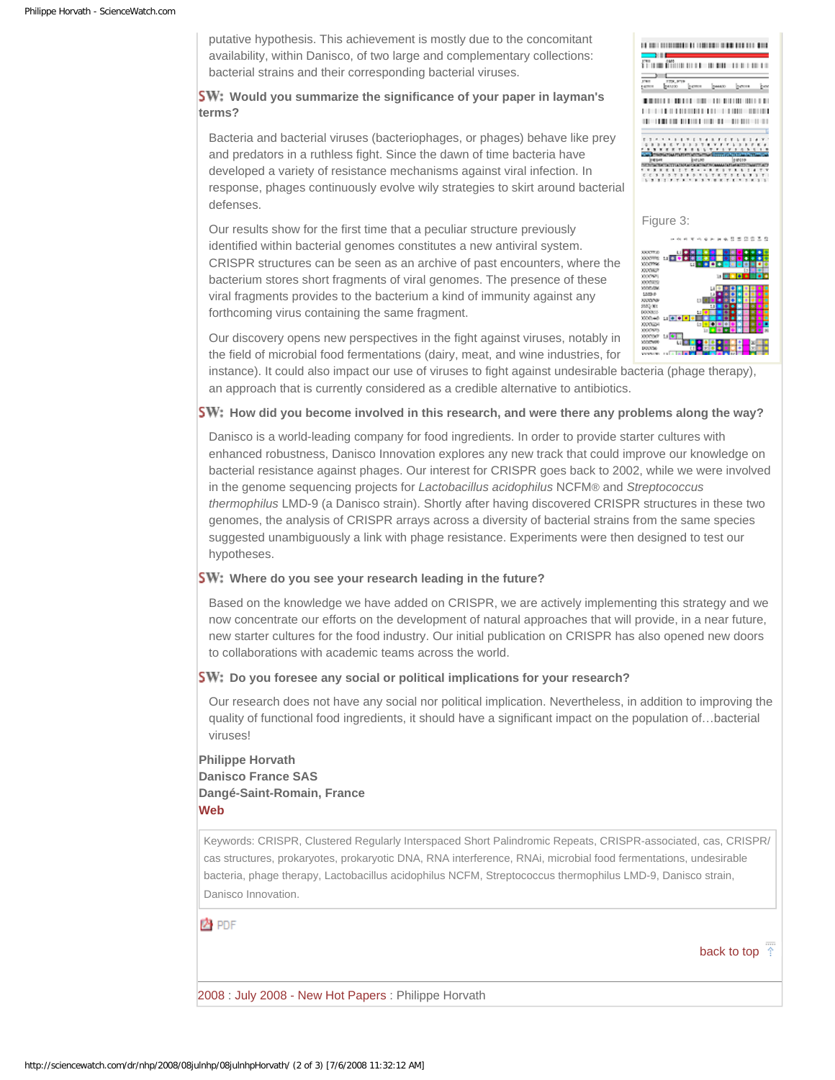putative hypothesis. This achievement is mostly due to the concomitant availability, within Danisco, of two large and complementary collections: bacterial strains and their corresponding bacterial viruses.

## **SW:** Would you summarize the significance of your paper in layman's **terms?**

Bacteria and bacterial viruses (bacteriophages, or phages) behave like prey and predators in a ruthless fight. Since the dawn of time bacteria have developed a variety of resistance mechanisms against viral infection. In response, phages continuously evolve wily strategies to skirt around bacterial defenses.

Our results show for the first time that a peculiar structure previously identified within bacterial genomes constitutes a new antiviral system. CRISPR structures can be seen as an archive of past encounters, where the bacterium stores short fragments of viral genomes. The presence of these viral fragments provides to the bacterium a kind of immunity against any forthcoming virus containing the same fragment.

| 1688<br>41<br>07 10 11 11 12 13 14 15 16 17 18 19 19 19 1                                            |
|------------------------------------------------------------------------------------------------------|
|                                                                                                      |
| 1787<br>1750, 8719<br>basero<br>peaso:<br><b>Samuel</b><br><b>CASTING</b>                            |
| $\mathbb{R}^n$<br>ш<br>                                                                              |
| $-1$<br>$\blacksquare$<br>t                                                                          |
|                                                                                                      |
|                                                                                                      |
| 77.77<br>$-4-8$<br><b>BBCY BBSTRY</b>                                                                |
| 5.7<br>. .<br>٠.<br><b>XXX7355</b><br><b>STRONOM</b><br><b><i>PERTY MITTLETIN</i></b>                |
| PESIE<br><b>bureau</b><br>100109<br>THE RESISTENT TO A THOMAS CALLED BY THE AMAN CARD AND CONSTITUTE |
| .<br>-<br>14                                                                                         |
| .<br>$\mathbf{y}$<br>- 7<br>л<br><b><i><u><u><b>AAAAAAAAAAAA</b></u></u></i></b><br>.                |
|                                                                                                      |
|                                                                                                      |
|                                                                                                      |
| Figure 3:                                                                                            |
|                                                                                                      |
| 作品<br>医神经肾管<br><b>10 00 00 W 10</b>                                                                  |
| XXXTT.O<br>L.I                                                                                       |
| <b>XXXVVH</b><br>98 C E<br>ï<br>٠<br><b>XXXTTNS</b><br>E1<br>٠                                       |
| XXXXXXX                                                                                              |
| 2000971<br>11 I D<br>ы<br>٠<br>COLORES                                                               |
| 1000006<br>ō<br>г<br>ы                                                                               |
| č<br>1203.0<br>٠<br>×<br>٠<br>c<br>٠<br>3222306<br>u                                                 |
| c<br>8503.00<br>٠<br>$\overline{1}$                                                                  |
| c<br>000085<br>红腰<br>٠<br>c<br>1000-48<br>٠                                                          |

2000515<br>2000507<br>200066<br>20006

Our discovery opens new perspectives in the fight against viruses, notably in the field of microbial food fermentations (dairy, meat, and wine industries, for

instance). It could also impact our use of viruses to fight against undesirable bacteria (phage therapy), an approach that is currently considered as a credible alternative to antibiotics.

### **SW:** How did you become involved in this research, and were there any problems along the way?

Danisco is a world-leading company for food ingredients. In order to provide starter cultures with enhanced robustness, Danisco Innovation explores any new track that could improve our knowledge on bacterial resistance against phages. Our interest for CRISPR goes back to 2002, while we were involved in the genome sequencing projects for *Lactobacillus acidophilus* NCFM® and *Streptococcus thermophilus* LMD-9 (a Danisco strain). Shortly after having discovered CRISPR structures in these two genomes, the analysis of CRISPR arrays across a diversity of bacterial strains from the same species suggested unambiguously a link with phage resistance. Experiments were then designed to test our hypotheses.

#### **SW:** Where do you see your research leading in the future?

Based on the knowledge we have added on CRISPR, we are actively implementing this strategy and we now concentrate our efforts on the development of natural approaches that will provide, in a near future, new starter cultures for the food industry. Our initial publication on CRISPR has also opened new doors to collaborations with academic teams across the world.

#### **SW:** Do you foresee any social or political implications for your research?

Our research does not have any social nor political implication. Nevertheless, in addition to improving the quality of functional food ingredients, it should have a significant impact on the population of…bacterial viruses!

# **Philippe Horvath Danisco France SAS Dangé-Saint-Romain, France [Web](http://www.danisco.com/cms/connect/corporate/home/index_en.htm)**

Keywords: CRISPR, Clustered Regularly Interspaced Short Palindromic Repeats, CRISPR-associated, cas, CRISPR/ cas structures, prokaryotes, prokaryotic DNA, RNA interference, RNAi, microbial food fermentations, undesirable bacteria, phage therapy, Lactobacillus acidophilus NCFM, Streptococcus thermophilus LMD-9, Danisco strain, Danisco Innovation.

A PDF

[back to top](#page-0-0)

[2008](http://sciencewatch.com/sciencewatch/dr/nhp/2008/) : [July 2008 - New Hot Papers](http://sciencewatch.com/sciencewatch/dr/nhp/2008/08julnhp/) : Philippe Horvath